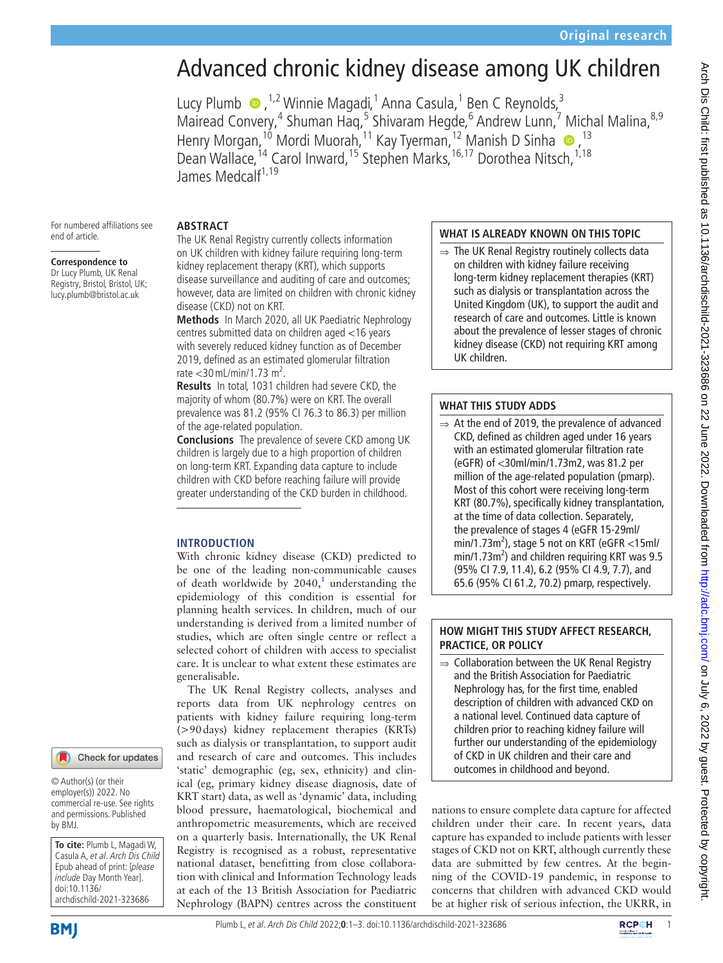# Advanced chronic kidney disease among UK children

LucyPlumb  $\bullet$ , <sup>1,2</sup> Winnie Magadi, <sup>1</sup> Anna Casula, <sup>1</sup> Ben C Reynolds, <sup>3</sup> Mairead Convery,<sup>4</sup> Shuman Haq,<sup>5</sup> Shivaram Hegde,<sup>6</sup> Andrew Lunn,<sup>7</sup> Michal Malina,<sup>8,9</sup> Henry Morgan,<sup>10</sup> Mordi Muorah,<sup>11</sup> Kay Tyerman,<sup>12</sup> Manish D Sinha <sup>10</sup>,<sup>13</sup> Dean Wallace,<sup>14</sup> Carol Inward,<sup>15</sup> Stephen Marks,<sup>16,17</sup> Dorothea Nitsch,<sup>1,18</sup> James Medcalf<sup>1,19</sup>

For numbered affiliations see end of article.

## **Correspondence to**

Dr Lucy Plumb, UK Renal Registry, Bristol, Bristol, UK; lucy.plumb@bristol.ac.uk

The UK Renal Registry currently collects information on UK children with kidney failure requiring long-term kidney replacement therapy (KRT), which supports disease surveillance and auditing of care and outcomes; however, data are limited on children with chronic kidney disease (CKD) not on KRT.

**Methods** In March 2020, all UK Paediatric Nephrology centres submitted data on children aged <16 years with severely reduced kidney function as of December 2019, defined as an estimated glomerular filtration  $rate < 30$  mL/min/1.73 m<sup>2</sup>.

**Results** In total, 1031 children had severe CKD, the majority of whom (80.7%) were on KRT. The overall prevalence was 81.2 (95% CI 76.3 to 86.3) per million of the age-related population.

**Conclusions** The prevalence of severe CKD among UK children is largely due to a high proportion of children on long-term KRT. Expanding data capture to include children with CKD before reaching failure will provide greater understanding of the CKD burden in childhood.

## **INTRODUCTION**

**ABSTRACT**

With chronic kidney disease (CKD) predicted to be one of the leading non-communicable causes of death worldwide by  $2040$ ,<sup>[1](#page-2-0)</sup> understanding the epidemiology of this condition is essential for planning health services. In children, much of our understanding is derived from a limited number of studies, which are often single centre or reflect a selected cohort of children with access to specialist care. It is unclear to what extent these estimates are generalisable.

The UK Renal Registry collects, analyses and reports data from UK nephrology centres on patients with kidney failure requiring long-term (>90days) kidney replacement therapies (KRTs) such as dialysis or transplantation, to support audit and research of care and outcomes. This includes 'static' demographic (eg, sex, ethnicity) and clinical (eg, primary kidney disease diagnosis, date of KRT start) data, as well as 'dynamic' data, including blood pressure, haematological, biochemical and anthropometric measurements, which are received on a quarterly basis. Internationally, the UK Renal Registry is recognised as a robust, representative national dataset, benefitting from close collaboration with clinical and Information Technology leads at each of the 13 British Association for Paediatric Nephrology (BAPN) centres across the constituent

# **WHAT IS ALREADY KNOWN ON THIS TOPIC**

 $\Rightarrow$  The UK Renal Registry routinely collects data on children with kidney failure receiving long-term kidney replacement therapies (KRT) such as dialysis or transplantation across the United Kingdom (UK), to support the audit and research of care and outcomes. Little is known about the prevalence of lesser stages of chronic kidney disease (CKD) not requiring KRT among UK children.

# **WHAT THIS STUDY ADDS**

At the end of 2019, the prevalence of advanced CKD, defined as children aged under 16 years with an estimated glomerular filtration rate (eGFR) of <30ml/min/1.73m2, was 81.2 per million of the age-related population (pmarp). Most of this cohort were receiving long-term KRT (80.7%), specifically kidney transplantation, at the time of data collection. Separately, the prevalence of stages 4 (eGFR 15-29ml/  $min/1.73m^2$ ), stage 5 not on KRT (eGFR <15ml/ min/1.73m<sup>2</sup>) and children requiring KRT was 9.5 (95% CI 7.9, 11.4), 6.2 (95% CI 4.9, 7.7), and 65.6 (95% CI 61.2, 70.2) pmarp, respectively.

# **HOW MIGHT THIS STUDY AFFECT RESEARCH, PRACTICE, OR POLICY**

⇒ Collaboration between the UK Renal Registry and the British Association for Paediatric Nephrology has, for the first time, enabled description of children with advanced CKD on a national level. Continued data capture of children prior to reaching kidney failure will further our understanding of the epidemiology of CKD in UK children and their care and outcomes in childhood and beyond.

nations to ensure complete data capture for affected children under their care. In recent years, data capture has expanded to include patients with lesser stages of CKD not on KRT, although currently these data are submitted by few centres. At the beginning of the COVID-19 pandemic, in response to concerns that children with advanced CKD would be at higher risk of serious infection, the UKRR, in

# Check for updates

© Author(s) (or their employer(s)) 2022. No commercial re-use. See rights and permissions. Published by BMJ.

**To cite:** Plumb L, Magadi W, Casula A, et al. Arch Dis Child Epub ahead of print: [please include Day Month Year]. doi:10.1136/ archdischild-2021-323686

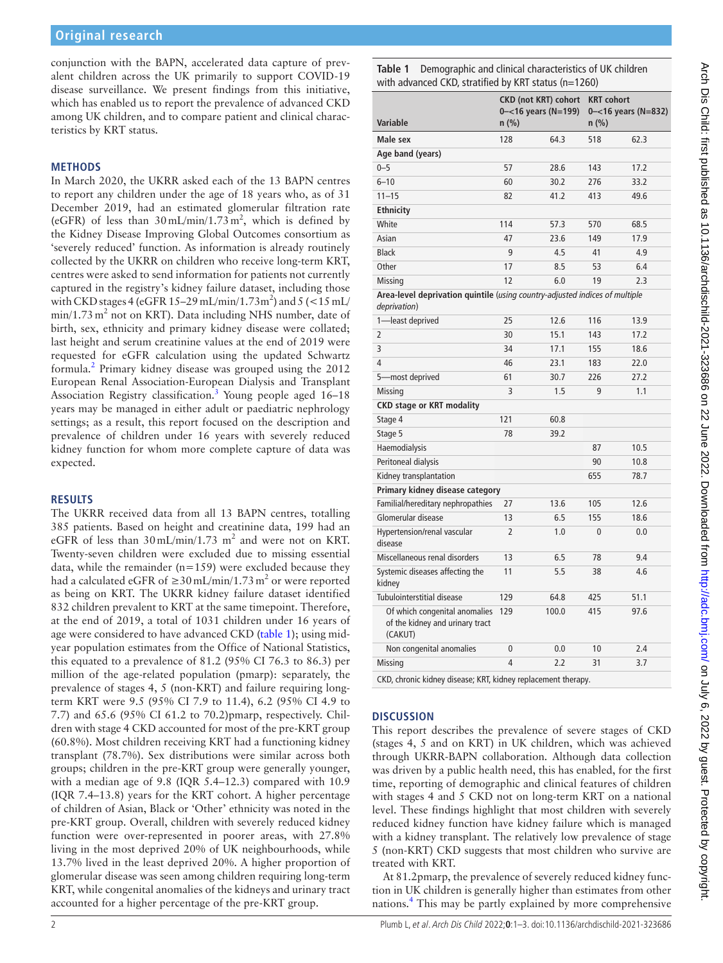conjunction with the BAPN, accelerated data capture of prevalent children across the UK primarily to support COVID-19 disease surveillance. We present findings from this initiative, which has enabled us to report the prevalence of advanced CKD among UK children, and to compare patient and clinical characteristics by KRT status.

## **METHODS**

In March 2020, the UKRR asked each of the 13 BAPN centres to report any children under the age of 18 years who, as of 31 December 2019, had an estimated glomerular filtration rate (eGFR) of less than  $30 \text{ mL/min}/1.73 \text{ m}^2$ , which is defined by the Kidney Disease Improving Global Outcomes consortium as 'severely reduced' function. As information is already routinely collected by the UKRR on children who receive long-term KRT, centres were asked to send information for patients not currently captured in the registry's kidney failure dataset, including those with CKD stages 4 (eGFR 15–29 mL/min/1.73m<sup>2</sup>) and 5 (<15 mL/  $min/1.73$  m<sup>2</sup> not on KRT). Data including NHS number, date of birth, sex, ethnicity and primary kidney disease were collated; last height and serum creatinine values at the end of 2019 were requested for eGFR calculation using the updated Schwartz formula.<sup>2</sup> Primary kidney disease was grouped using the 2012 European Renal Association-European Dialysis and Transplant Association Registry classification.<sup>[3](#page-2-2)</sup> Young people aged 16–18 years may be managed in either adult or paediatric nephrology settings; as a result, this report focused on the description and prevalence of children under 16 years with severely reduced kidney function for whom more complete capture of data was expected.

## **RESULTS**

The UKRR received data from all 13 BAPN centres, totalling 385 patients. Based on height and creatinine data, 199 had an eGFR of less than  $30 \text{ mL/min}/1.73 \text{ m}^2$  and were not on KRT. Twenty-seven children were excluded due to missing essential data, while the remainder (n*=*159) were excluded because they had a calculated eGFR of  $\geq$ 30 mL/min/1.73 m<sup>2</sup> or were reported as being on KRT. The UKRR kidney failure dataset identified 832 children prevalent to KRT at the same timepoint. Therefore, at the end of 2019, a total of 1031 children under 16 years of age were considered to have advanced CKD ([table](#page-1-0) 1); using midyear population estimates from the Office of National Statistics, this equated to a prevalence of 81.2 (95% CI 76.3 to 86.3) per million of the age-related population (pmarp): separately, the prevalence of stages 4, 5 (non-KRT) and failure requiring longterm KRT were 9.5 (95% CI 7.9 to 11.4), 6.2 (95% CI 4.9 to 7.7) and 65.6 (95% CI 61.2 to 70.2)pmarp, respectively. Children with stage 4 CKD accounted for most of the pre-KRT group (60.8%). Most children receiving KRT had a functioning kidney transplant (78.7%). Sex distributions were similar across both groups; children in the pre-KRT group were generally younger, with a median age of 9.8 (IQR 5.4–12.3) compared with 10.9 (IQR 7.4–13.8) years for the KRT cohort. A higher percentage of children of Asian, Black or 'Other' ethnicity was noted in the pre-KRT group. Overall, children with severely reduced kidney function were over-represented in poorer areas, with 27.8% living in the most deprived 20% of UK neighbourhoods, while 13.7% lived in the least deprived 20%. A higher proportion of glomerular disease was seen among children requiring long-term KRT, while congenital anomalies of the kidneys and urinary tract accounted for a higher percentage of the pre-KRT group.

<span id="page-1-0"></span>**Table 1** Demographic and clinical characteristics of UK children with advanced CKD, stratified by KRT status (n*=*1260)

|                                                                                             | <b>CKD (not KRT) cohort</b><br>$0 - 16$ years (N=199) |       | <b>KRT</b> cohort<br>$0 - 16$ years (N=832) |      |
|---------------------------------------------------------------------------------------------|-------------------------------------------------------|-------|---------------------------------------------|------|
| Variable                                                                                    | $n$ (%)                                               |       | $n$ (%)                                     |      |
| Male sex                                                                                    | 128                                                   | 64.3  | 518                                         | 62.3 |
| Age band (years)                                                                            |                                                       |       |                                             |      |
| $0 - 5$                                                                                     | 57                                                    | 28.6  | 143                                         | 17.2 |
| $6 - 10$                                                                                    | 60                                                    | 30.2  | 276                                         | 33.2 |
| $11 - 15$                                                                                   | 82                                                    | 41.2  | 413                                         | 49.6 |
| <b>Ethnicity</b>                                                                            |                                                       |       |                                             |      |
| White                                                                                       | 114                                                   | 57.3  | 570                                         | 68.5 |
| Asian                                                                                       | 47                                                    | 23.6  | 149                                         | 17.9 |
| <b>Black</b>                                                                                | 9                                                     | 4.5   | 41                                          | 4.9  |
| Other                                                                                       | 17                                                    | 8.5   | 53                                          | 6.4  |
| Missing                                                                                     | 12                                                    | 6.0   | 19                                          | 2.3  |
| Area-level deprivation quintile (using country-adjusted indices of multiple<br>deprivation) |                                                       |       |                                             |      |
| 1-least deprived                                                                            | 25                                                    | 12.6  | 116                                         | 13.9 |
| $\overline{2}$                                                                              | 30                                                    | 15.1  | 143                                         | 17.2 |
| 3                                                                                           | 34                                                    | 17.1  | 155                                         | 18.6 |
| 4                                                                                           | 46                                                    | 23.1  | 183                                         | 22.0 |
| 5-most deprived                                                                             | 61                                                    | 30.7  | 226                                         | 27.2 |
| Missing                                                                                     | 3                                                     | 1.5   | 9                                           | 1.1  |
| <b>CKD stage or KRT modality</b>                                                            |                                                       |       |                                             |      |
| Stage 4                                                                                     | 121                                                   | 60.8  |                                             |      |
| Stage 5                                                                                     | 78                                                    | 39.2  |                                             |      |
| Haemodialysis                                                                               |                                                       |       | 87                                          | 10.5 |
| Peritoneal dialysis                                                                         |                                                       |       | 90                                          | 10.8 |
| Kidney transplantation                                                                      |                                                       |       | 655                                         | 78.7 |
| Primary kidney disease category                                                             |                                                       |       |                                             |      |
| Familial/hereditary nephropathies                                                           | 27                                                    | 13.6  | 105                                         | 12.6 |
| Glomerular disease                                                                          | 13                                                    | 6.5   | 155                                         | 18.6 |
| Hypertension/renal vascular<br>disease                                                      | $\overline{2}$                                        | 1.0   | $\overline{0}$                              | 0.0  |
| Miscellaneous renal disorders                                                               | 13                                                    | 6.5   | 78                                          | 9.4  |
| Systemic diseases affecting the<br>kidney                                                   | 11                                                    | 5.5   | 38                                          | 4.6  |
| Tubulointerstitial disease                                                                  | 129                                                   | 64.8  | 425                                         | 51.1 |
| Of which congenital anomalies<br>of the kidney and urinary tract<br>(CAKUT)                 | 129                                                   | 100.0 | 415                                         | 97.6 |
| Non congenital anomalies                                                                    | 0                                                     | 0.0   | 10                                          | 2.4  |
| Missing                                                                                     | 4                                                     | 2.2   | 31                                          | 3.7  |
| CKD, chronic kidney disease; KRT, kidney replacement therapy.                               |                                                       |       |                                             |      |

## **DISCUSSION**

This report describes the prevalence of severe stages of CKD (stages 4, 5 and on KRT) in UK children, which was achieved through UKRR-BAPN collaboration. Although data collection was driven by a public health need, this has enabled, for the first time, reporting of demographic and clinical features of children with stages 4 and 5 CKD not on long-term KRT on a national level. These findings highlight that most children with severely reduced kidney function have kidney failure which is managed with a kidney transplant. The relatively low prevalence of stage 5 (non-KRT) CKD suggests that most children who survive are treated with KRT.

At 81.2pmarp, the prevalence of severely reduced kidney function in UK children is generally higher than estimates from other nations.[4](#page-2-3) This may be partly explained by more comprehensive